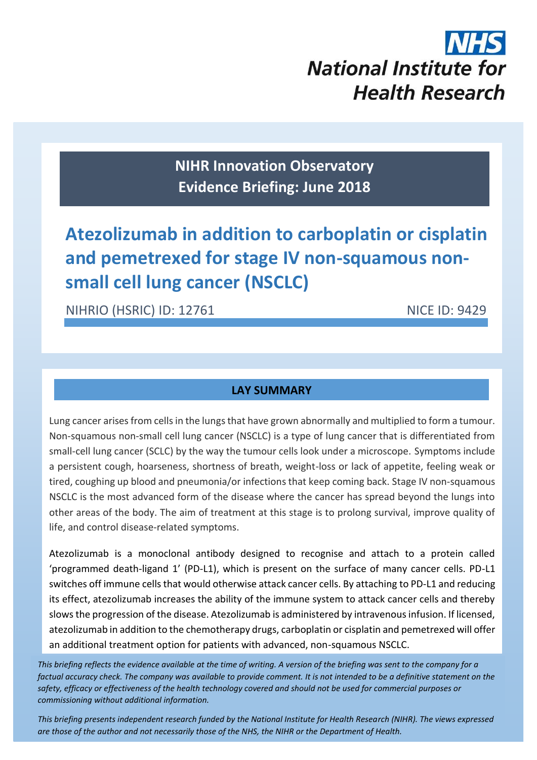# **National Institute for Health Research**

**NIHR Innovation Observatory Evidence Briefing: June 2018**

### **Atezolizumab in addition to carboplatin or cisplatin and pemetrexed for stage IV non-squamous nonsmall cell lung cancer (NSCLC)**

NIHRIO (HSRIC) ID: 12761 NICE ID: 9429

#### **LAY SUMMARY**

Lung cancer arises from cells in the lungs that have grown abnormally and multiplied to form a tumour. Non-squamous non-small cell lung cancer (NSCLC) is a type of lung cancer that is differentiated from small-cell lung cancer (SCLC) by the way the tumour cells look under a microscope. Symptoms include a persistent cough, hoarseness, shortness of breath, weight-loss or lack of appetite, feeling weak or tired, coughing up blood and pneumonia/or infections that keep coming back. Stage IV non-squamous NSCLC is the most advanced form of the disease where the cancer has spread beyond the lungs into other areas of the body. The aim of treatment at this stage is to prolong survival, improve quality of life, and control disease-related symptoms.

Atezolizumab is a monoclonal antibody designed to recognise and attach to a protein called 'programmed death-ligand 1' (PD-L1), which is present on the surface of many cancer cells. PD-L1 switches off immune cells that would otherwise attack cancer cells. By attaching to PD-L1 and reducing its effect, atezolizumab increases the ability of the immune system to attack cancer cells and thereby slowsthe progression of the disease. Atezolizumab is administered by intravenous infusion. If licensed, atezolizumab in addition to the chemotherapy drugs, carboplatin or cisplatin and pemetrexed will offer an additional treatment option for patients with advanced, non-squamous NSCLC.

*This briefing reflects the evidence available at the time of writing. A version of the briefing was sent to the company for a factual accuracy check. The company was available to provide comment. It is not intended to be a definitive statement on the safety, efficacy or effectiveness of the health technology covered and should not be used for commercial purposes or commissioning without additional information.*

*This briefing presents independent research funded by the National Institute for Health Research (NIHR). The views expressed are those of the author and not necessarily those of the NHS, the NIHR or the Department of Health.*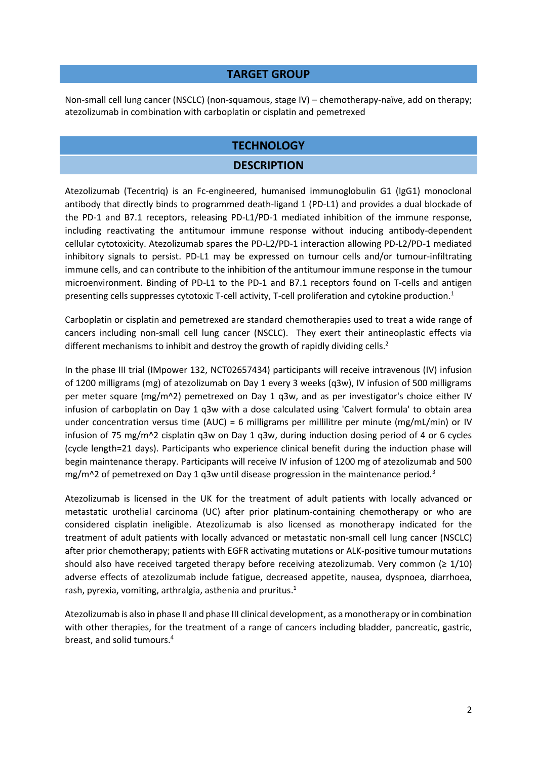#### **TARGET GROUP**

Non-small cell lung cancer (NSCLC) (non-squamous, stage IV) – chemotherapy-naïve, add on therapy; atezolizumab in combination with carboplatin or cisplatin and pemetrexed

#### **TECHNOLOGY**

#### <span id="page-1-1"></span><span id="page-1-0"></span>**DESCRIPTION**

Atezolizumab (Tecentriq) is an Fc-engineered, humanised immunoglobulin G1 (IgG1) monoclonal antibody that directly binds to programmed death-ligand 1 (PD-L1) and provides a dual blockade of the PD-1 and B7.1 receptors, releasing PD-L1/PD-1 mediated inhibition of the immune response, including reactivating the antitumour immune response without inducing antibody-dependent cellular cytotoxicity. Atezolizumab spares the PD-L2/PD-1 interaction allowing PD-L2/PD-1 mediated inhibitory signals to persist. PD-L1 may be expressed on tumour cells and/or tumour-infiltrating immune cells, and can contribute to the inhibition of the antitumour immune response in the tumour microenvironment. Binding of PD-L1 to the PD-1 and B7.1 receptors found on T-cells and antigen presenting cells suppresses cytotoxic T-cell activity, T-cell proliferation and cytokine production.<sup>1</sup>

Carboplatin or cisplatin and pemetrexed are standard chemotherapies used to treat a wide range of cancers including non-small cell lung cancer (NSCLC). They exert their antineoplastic effects via different mechanisms to inhibit and destroy the growth of rapidly dividing cells.<sup>2</sup>

In the phase III trial (IMpower 132, NCT02657434) participants will receive intravenous (IV) infusion of 1200 milligrams (mg) of atezolizumab on Day 1 every 3 weeks (q3w), IV infusion of 500 milligrams per meter square (mg/m^2) pemetrexed on Day 1 q3w, and as per investigator's choice either IV infusion of carboplatin on Day 1 q3w with a dose calculated using 'Calvert formula' to obtain area under concentration versus time (AUC) = 6 milligrams per millilitre per minute (mg/mL/min) or IV infusion of 75 mg/m^2 cisplatin q3w on Day 1 q3w, during induction dosing period of 4 or 6 cycles (cycle length=21 days). Participants who experience clinical benefit during the induction phase will begin maintenance therapy. Participants will receive IV infusion of 1200 mg of atezolizumab and 500 mg/m^2 of pemetrexed on Day 1 q3w until disease progression in the maintenance period.<sup>3</sup>

Atezolizumab is licensed in the UK for the treatment of adult patients with locally advanced or metastatic urothelial carcinoma (UC) after prior platinum-containing chemotherapy or who are considered cisplatin ineligible. Atezolizumab is also licensed as monotherapy indicated for the treatment of adult patients with locally advanced or metastatic non-small cell lung cancer (NSCLC) after prior chemotherapy; patients with EGFR activating mutations or ALK-positive tumour mutations should also have received targeted therapy before receiving atezolizumab. Very common  $(≥ 1/10)$ adverse effects of atezolizumab include fatigue, decreased appetite, nausea, dyspnoea, diarrhoea, rash, pyrexia, vomiting, arthralgia, asthenia and pruritus[.](#page-1-0)<sup>1</sup>

Atezolizumab is also in phase II and phase III clinical development, as a monotherapy or in combination with other therapies, for the treatment of a range of cancers including bladder, pancreatic, gastric, breast, and solid tumours. 4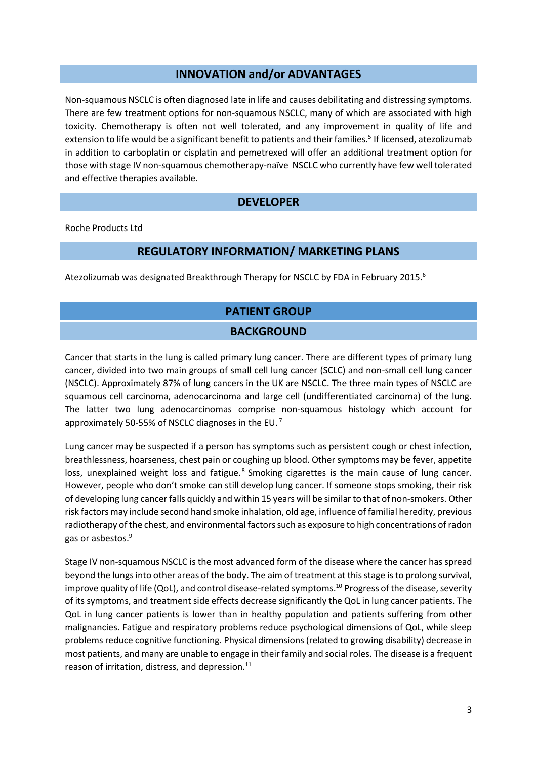#### **INNOVATION and/or ADVANTAGES**

Non-squamous NSCLC is often diagnosed late in life and causes debilitating and distressing symptoms. There are few treatment options for non-squamous NSCLC, many of which are associated with high toxicity. Chemotherapy is often not well tolerated, and any improvement in quality of life and extension to life would be a significant benefit to patients and their families.<sup>5</sup> If licensed, atezolizumab in addition to carboplatin or cisplatin and pemetrexed will offer an additional treatment option for those with stage IV non-squamous chemotherapy-naïve NSCLC who currently have few well tolerated and effective therapies available.

#### <span id="page-2-1"></span>**DEVELOPER**

Roche Products Ltd

#### **REGULATORY INFORMATION/ MARKETING PLANS**

Atezolizumab was designated Breakthrough Therapy for NSCLC by FDA in February 2015.<sup>6</sup>

#### **PATIENT GROUP**

#### <span id="page-2-0"></span>**BACKGROUND**

Cancer that starts in the lung is called primary lung cancer. There are different types of primary lung cancer, divided into two main groups of small cell lung cancer (SCLC) and non-small cell lung cancer (NSCLC). Approximately 87% of lung cancers in the UK are NSCLC. The three main types of NSCLC are squamous cell carcinoma, adenocarcinoma and large cell (undifferentiated carcinoma) of the lung. The latter two lung adenocarcinomas comprise non-squamous histology which account for approximately 50-55% of NSCLC diagnoses in the EU.<sup>7</sup>

Lung cancer may be suspected if a person has symptoms such as persistent cough or chest infection, breathlessness, hoarseness, chest pain or coughing up blood. Other symptoms may be fever, appetite loss, unexplained weight loss and fatigue.<sup>8</sup> Smoking cigarettes is the main cause of lung cancer. However, people who don't smoke can still develop lung cancer. If someone stops smoking, their risk of developing lung cancer falls quickly and within 15 years will be similar to that of non-smokers. Other risk factors may include second hand smoke inhalation, old age, influence of familial heredity, previous radiotherapy of the chest, and environmental factors such as exposure to high concentrations of radon gas or asbestos.<sup>9</sup>

Stage IV non-squamous NSCLC is the most advanced form of the disease where the cancer has spread beyond the lungs into other areas of the body. The aim of treatment at this stage is to prolong survival, improve quality of life (QoL), and control disease-related symptoms.<sup>10</sup> Progress of the disease, severity of its symptoms, and treatment side effects decrease significantly the QoL in lung cancer patients. The QoL in lung cancer patients is lower than in healthy population and patients suffering from other malignancies. Fatigue and respiratory problems reduce psychological dimensions of QoL, while sleep problems reduce cognitive functioning. Physical dimensions (related to growing disability) decrease in most patients, and many are unable to engage in their family and social roles. The disease is a frequent reason of irritation, distress, and depression.<sup>11</sup>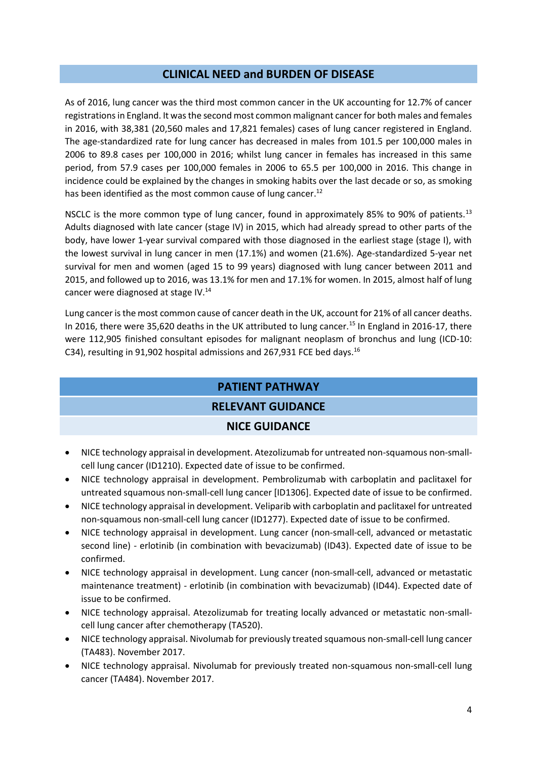#### **CLINICAL NEED and BURDEN OF DISEASE**

As of 2016, lung cancer was the third most common cancer in the UK accounting for 12.7% of cancer registrations in England. It was the second most common malignant cancer for both males and females in 2016, with 38,381 (20,560 males and 17,821 females) cases of lung cancer registered in England. The age-standardized rate for lung cancer has decreased in males from 101.5 per 100,000 males in 2006 to 89.8 cases per 100,000 in 2016; whilst lung cancer in females has increased in this same period, from 57.9 cases per 100,000 females in 2006 to 65.5 per 100,000 in 2016. This change in incidence could be explained by the changes in smoking habits over the last decade or so, as smoking has been identified as the most common cause of lung cancer.<sup>12</sup>

NSCLC is the more common type of lung cancer, found in approximately 85% to 90% of patients.<sup>13</sup> Adults diagnosed with late cancer (stage IV) in 2015, which had already spread to other parts of the body, have lower 1-year survival compared with those diagnosed in the earliest stage (stage I), with the lowest survival in lung cancer in men (17.1%) and women (21.6%). Age-standardized 5-year net survival for men and women (aged 15 to 99 years) diagnosed with lung cancer between 2011 and 2015, and followed up to 2016, was 13.1% for men and 17.1% for women. In 2015, almost half of lung cancer were diagnosed at stage IV.<sup>14</sup>

Lung cancer is the most common cause of cancer death in the UK, account for 21% of all cancer deaths. In 2016, there were 35,620 deaths in the UK attributed to lung cancer.<sup>15</sup> In England in 2016-17, there were 112,905 finished consultant episodes for malignant neoplasm of bronchus and lung (ICD-10: C34), resulting in 91,902 hospital admissions and 267,931 FCE bed days.<sup>16</sup>

#### **PATIENT PATHWAY**

#### **RELEVANT GUIDANCE**

#### **NICE GUIDANCE**

- NICE technology appraisal in development. Atezolizumab for untreated non-squamous non-smallcell lung cancer (ID1210). Expected date of issue to be confirmed.
- NICE technology appraisal in development. Pembrolizumab with carboplatin and paclitaxel for untreated squamous non-small-cell lung cancer [ID1306]. Expected date of issue to be confirmed.
- NICE technology appraisal in development. Veliparib with carboplatin and paclitaxel for untreated non-squamous non-small-cell lung cancer (ID1277). Expected date of issue to be confirmed.
- NICE technology appraisal in development. Lung cancer (non-small-cell, advanced or metastatic second line) - erlotinib (in combination with bevacizumab) (ID43). Expected date of issue to be confirmed.
- NICE technology appraisal in development. Lung cancer (non-small-cell, advanced or metastatic maintenance treatment) - erlotinib (in combination with bevacizumab) (ID44). Expected date of issue to be confirmed.
- NICE technology appraisal. Atezolizumab for treating locally advanced or metastatic non-smallcell lung cancer after chemotherapy (TA520).
- NICE technology appraisal. Nivolumab for previously treated squamous non-small-cell lung cancer (TA483). November 2017.
- NICE technology appraisal. Nivolumab for previously treated non-squamous non-small-cell lung cancer (TA484). November 2017.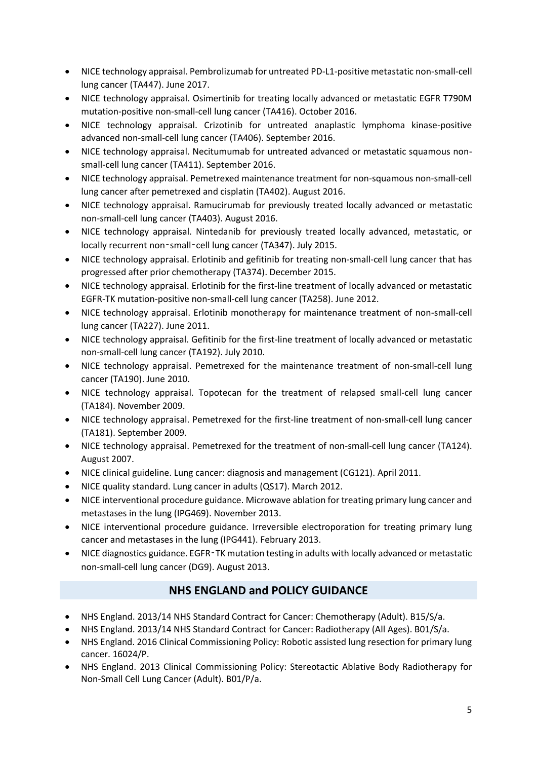- NICE technology appraisal. Pembrolizumab for untreated PD-L1-positive metastatic non-small-cell lung cancer (TA447). June 2017.
- NICE technology appraisal. Osimertinib for treating locally advanced or metastatic EGFR T790M mutation-positive non-small-cell lung cancer (TA416). October 2016.
- NICE technology appraisal. Crizotinib for untreated anaplastic lymphoma kinase-positive advanced non-small-cell lung cancer (TA406). September 2016.
- NICE technology appraisal. Necitumumab for untreated advanced or metastatic squamous nonsmall-cell lung cancer (TA411). September 2016.
- NICE technology appraisal. Pemetrexed maintenance treatment for non-squamous non-small-cell lung cancer after pemetrexed and cisplatin (TA402). August 2016.
- NICE technology appraisal. Ramucirumab for previously treated locally advanced or metastatic non-small-cell lung cancer (TA403). August 2016.
- NICE technology appraisal. Nintedanib for previously treated locally advanced, metastatic, or locally recurrent non-small-cell lung cancer (TA347). July 2015.
- NICE technology appraisal. Erlotinib and gefitinib for treating non-small-cell lung cancer that has progressed after prior chemotherapy (TA374). December 2015.
- NICE technology appraisal. Erlotinib for the first-line treatment of locally advanced or metastatic EGFR-TK mutation-positive non-small-cell lung cancer (TA258). June 2012.
- NICE technology appraisal. Erlotinib monotherapy for maintenance treatment of non-small-cell lung cancer (TA227). June 2011.
- NICE technology appraisal. Gefitinib for the first-line treatment of locally advanced or metastatic non-small-cell lung cancer (TA192). July 2010.
- NICE technology appraisal. Pemetrexed for the maintenance treatment of non-small-cell lung cancer (TA190). June 2010.
- NICE technology appraisal. Topotecan for the treatment of relapsed small-cell lung cancer (TA184). November 2009.
- NICE technology appraisal. Pemetrexed for the first-line treatment of non-small-cell lung cancer (TA181). September 2009.
- NICE technology appraisal. Pemetrexed for the treatment of non-small-cell lung cancer (TA124). August 2007.
- NICE clinical guideline. Lung cancer: diagnosis and management (CG121). April 2011.
- NICE quality standard. Lung cancer in adults (QS17). March 2012.
- NICE interventional procedure guidance. Microwave ablation for treating primary lung cancer and metastases in the lung (IPG469). November 2013.
- NICE interventional procedure guidance. Irreversible electroporation for treating primary lung cancer and metastases in the lung (IPG441). February 2013.
- NICE diagnostics guidance. EGFR‑TK mutation testing in adults with locally advanced or metastatic non-small-cell lung cancer (DG9). August 2013.

#### **NHS ENGLAND and POLICY GUIDANCE**

- NHS England. 2013/14 NHS Standard Contract for Cancer: Chemotherapy (Adult). B15/S/a.
- NHS England. 2013/14 NHS Standard Contract for Cancer: Radiotherapy (All Ages). B01/S/a.
- NHS England. 2016 Clinical Commissioning Policy: Robotic assisted lung resection for primary lung cancer. 16024/P.
- NHS England. 2013 Clinical Commissioning Policy: Stereotactic Ablative Body Radiotherapy for Non-Small Cell Lung Cancer (Adult). B01/P/a.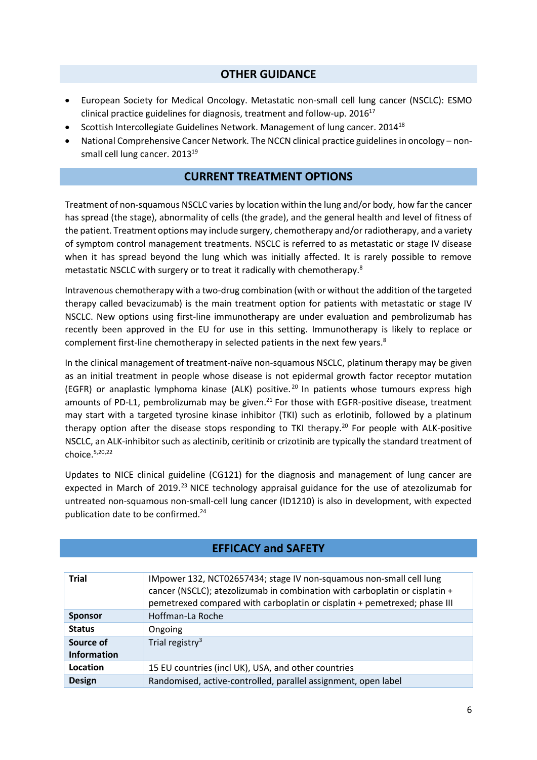#### **OTHER GUIDANCE**

- European Society for Medical Oncology. Metastatic non-small cell lung cancer (NSCLC): ESMO clinical practice guidelines for diagnosis, treatment and follow-up. 2016<sup>17</sup>
- Scottish Intercollegiate Guidelines Network. Management of lung cancer. 2014<sup>18</sup>
- National Comprehensive Cancer Network. The NCCN clinical practice guidelines in oncology nonsmall cell lung cancer. 2013<sup>19</sup>

#### **CURRENT TREATMENT OPTIONS**

Treatment of non-squamous NSCLC varies by location within the lung and/or body, how far the cancer has spread (the stage), abnormality of cells (the grade), and the general health and level of fitness of the patient. Treatment options may include surgery, chemotherapy and/or radiotherapy, and a variety of symptom control management treatments. NSCLC is referred to as metastatic or stage IV disease when it has spread beyond the lung which was initially affected. It is rarely possible to remove metastatic NSCLC with surgery or to treat it radically with chemotherapy[.](#page-2-0)<sup>8</sup>

Intravenous chemotherapy with a two-drug combination (with or without the addition of the targeted therapy called bevacizumab) is the main treatment option for patients with metastatic or stage IV NSCLC. New options using first-line immunotherapy are under evaluation and pembrolizumab has recently been approved in the EU for use in this setting. Immunotherapy is likely to replace or complement first-line chemotherapy in selected patients in the next few years[.](#page-2-0)<sup>8</sup>

In the clinical management of treatment-naïve non-squamous NSCLC, platinum therapy may be given as an initial treatment in people whose disease is not epidermal growth factor receptor mutation (EGFR) or anaplastic lymphoma kinase (ALK) positive.<sup>20</sup> In patients whose tumours express high amounts of PD-L1, pembrolizumab may be given.<sup>21</sup> For those with EGFR-positive disease, treatment may start with a targeted tyrosine kinase inhibitor (TKI) such as erlotinib, followed by a platinum therapy option after the disease stops responding to TKI therapy.<sup>[20](#page-5-0)</sup> For people with ALK-positive NSCLC, an ALK-inhibitor such as alectinib, ceritinib or crizotinib are typically the standard treatment of choice. [5](#page-2-1)[,20,2](#page-5-0)2

Updates to NICE clinical guideline (CG121) for the diagnosis and management of lung cancer are expected in March of 2019.<sup>23</sup> NICE technology appraisal guidance for the use of atezolizumab for untreated non-squamous non-small-cell lung cancer (ID1210) is also in development, with expected publication date to be confirmed.<sup>24</sup>

| <b>Trial</b>                    | IMpower 132, NCT02657434; stage IV non-squamous non-small cell lung<br>cancer (NSCLC); atezolizumab in combination with carboplatin or cisplatin +<br>pemetrexed compared with carboplatin or cisplatin + pemetrexed; phase III |
|---------------------------------|---------------------------------------------------------------------------------------------------------------------------------------------------------------------------------------------------------------------------------|
| <b>Sponsor</b>                  | Hoffman-La Roche                                                                                                                                                                                                                |
| <b>Status</b>                   | Ongoing                                                                                                                                                                                                                         |
| Source of<br><b>Information</b> | Trial registry <sup>3</sup>                                                                                                                                                                                                     |
| Location                        | 15 EU countries (incl UK), USA, and other countries                                                                                                                                                                             |
| <b>Design</b>                   | Randomised, active-controlled, parallel assignment, open label                                                                                                                                                                  |
|                                 |                                                                                                                                                                                                                                 |

#### <span id="page-5-0"></span>**EFFICACY and SAFETY**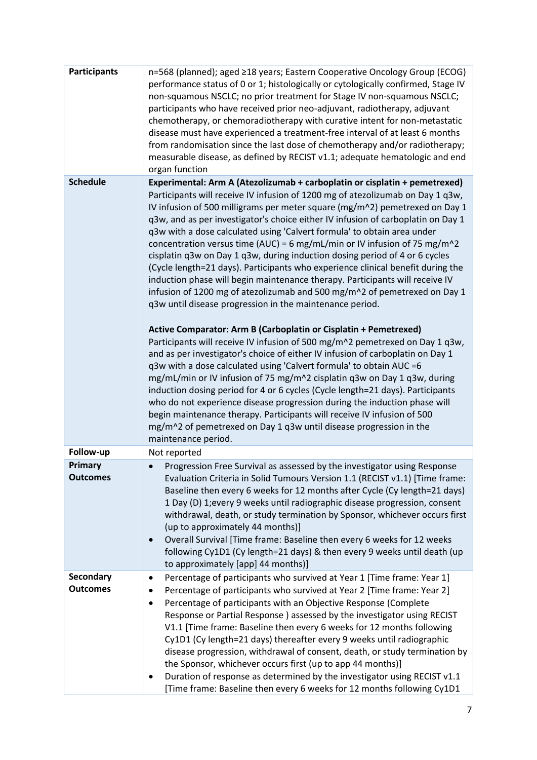| <b>Participants</b>                 | n=568 (planned); aged ≥18 years; Eastern Cooperative Oncology Group (ECOG)<br>performance status of 0 or 1; histologically or cytologically confirmed, Stage IV<br>non-squamous NSCLC; no prior treatment for Stage IV non-squamous NSCLC;<br>participants who have received prior neo-adjuvant, radiotherapy, adjuvant<br>chemotherapy, or chemoradiotherapy with curative intent for non-metastatic<br>disease must have experienced a treatment-free interval of at least 6 months<br>from randomisation since the last dose of chemotherapy and/or radiotherapy;<br>measurable disease, as defined by RECIST v1.1; adequate hematologic and end                                                                                                                                                                                                                                                                                                                                                                                                                                                                                                                                                                                                                                                                                                                                                                                      |
|-------------------------------------|------------------------------------------------------------------------------------------------------------------------------------------------------------------------------------------------------------------------------------------------------------------------------------------------------------------------------------------------------------------------------------------------------------------------------------------------------------------------------------------------------------------------------------------------------------------------------------------------------------------------------------------------------------------------------------------------------------------------------------------------------------------------------------------------------------------------------------------------------------------------------------------------------------------------------------------------------------------------------------------------------------------------------------------------------------------------------------------------------------------------------------------------------------------------------------------------------------------------------------------------------------------------------------------------------------------------------------------------------------------------------------------------------------------------------------------|
| <b>Schedule</b>                     | organ function<br>Experimental: Arm A (Atezolizumab + carboplatin or cisplatin + pemetrexed)                                                                                                                                                                                                                                                                                                                                                                                                                                                                                                                                                                                                                                                                                                                                                                                                                                                                                                                                                                                                                                                                                                                                                                                                                                                                                                                                             |
|                                     | Participants will receive IV infusion of 1200 mg of atezolizumab on Day 1 q3w,<br>IV infusion of 500 milligrams per meter square (mg/m^2) pemetrexed on Day 1<br>q3w, and as per investigator's choice either IV infusion of carboplatin on Day 1<br>q3w with a dose calculated using 'Calvert formula' to obtain area under<br>concentration versus time (AUC) = 6 mg/mL/min or IV infusion of 75 mg/m^2<br>cisplatin q3w on Day 1 q3w, during induction dosing period of 4 or 6 cycles<br>(Cycle length=21 days). Participants who experience clinical benefit during the<br>induction phase will begin maintenance therapy. Participants will receive IV<br>infusion of 1200 mg of atezolizumab and 500 mg/m^2 of pemetrexed on Day 1<br>q3w until disease progression in the maintenance period.<br>Active Comparator: Arm B (Carboplatin or Cisplatin + Pemetrexed)<br>Participants will receive IV infusion of 500 mg/m^2 pemetrexed on Day 1 q3w,<br>and as per investigator's choice of either IV infusion of carboplatin on Day 1<br>q3w with a dose calculated using 'Calvert formula' to obtain AUC = 6<br>mg/mL/min or IV infusion of 75 mg/m^2 cisplatin q3w on Day 1 q3w, during<br>induction dosing period for 4 or 6 cycles (Cycle length=21 days). Participants<br>who do not experience disease progression during the induction phase will<br>begin maintenance therapy. Participants will receive IV infusion of 500 |
|                                     | mg/m^2 of pemetrexed on Day 1 q3w until disease progression in the<br>maintenance period.                                                                                                                                                                                                                                                                                                                                                                                                                                                                                                                                                                                                                                                                                                                                                                                                                                                                                                                                                                                                                                                                                                                                                                                                                                                                                                                                                |
| Follow-up                           | Not reported                                                                                                                                                                                                                                                                                                                                                                                                                                                                                                                                                                                                                                                                                                                                                                                                                                                                                                                                                                                                                                                                                                                                                                                                                                                                                                                                                                                                                             |
| <b>Primary</b><br><b>Outcomes</b>   | Progression Free Survival as assessed by the investigator using Response<br>$\bullet$<br>Evaluation Criteria in Solid Tumours Version 1.1 (RECIST v1.1) [Time frame:<br>Baseline then every 6 weeks for 12 months after Cycle (Cy length=21 days)<br>1 Day (D) 1; every 9 weeks until radiographic disease progression, consent<br>withdrawal, death, or study termination by Sponsor, whichever occurs first<br>(up to approximately 44 months)]<br>Overall Survival [Time frame: Baseline then every 6 weeks for 12 weeks<br>$\bullet$<br>following Cy1D1 (Cy length=21 days) & then every 9 weeks until death (up<br>to approximately [app] 44 months)]                                                                                                                                                                                                                                                                                                                                                                                                                                                                                                                                                                                                                                                                                                                                                                               |
| <b>Secondary</b><br><b>Outcomes</b> | Percentage of participants who survived at Year 1 [Time frame: Year 1]<br>$\bullet$<br>Percentage of participants who survived at Year 2 [Time frame: Year 2]<br>Percentage of participants with an Objective Response (Complete<br>٠<br>Response or Partial Response ) assessed by the investigator using RECIST<br>V1.1 [Time frame: Baseline then every 6 weeks for 12 months following<br>Cy1D1 (Cy length=21 days) thereafter every 9 weeks until radiographic<br>disease progression, withdrawal of consent, death, or study termination by<br>the Sponsor, whichever occurs first (up to app 44 months)]<br>Duration of response as determined by the investigator using RECIST v1.1<br>[Time frame: Baseline then every 6 weeks for 12 months following Cy1D1                                                                                                                                                                                                                                                                                                                                                                                                                                                                                                                                                                                                                                                                    |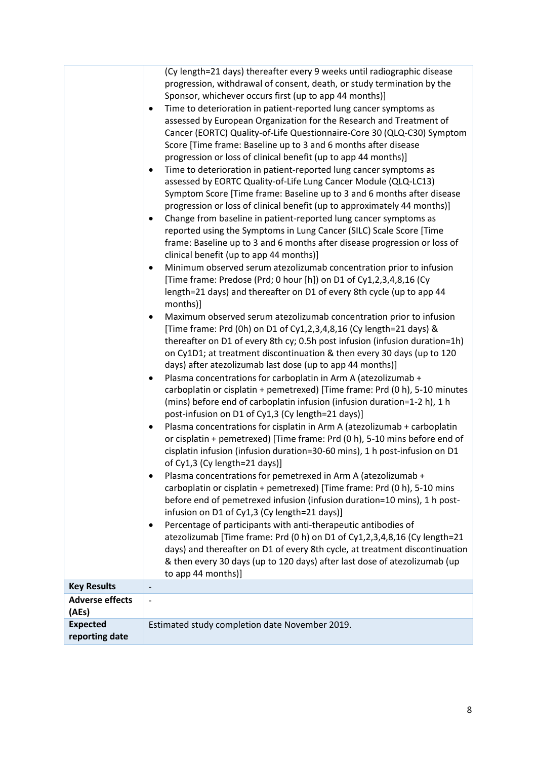|                                   | (Cy length=21 days) thereafter every 9 weeks until radiographic disease<br>progression, withdrawal of consent, death, or study termination by the<br>Sponsor, whichever occurs first (up to app 44 months)]<br>Time to deterioration in patient-reported lung cancer symptoms as<br>$\bullet$<br>assessed by European Organization for the Research and Treatment of<br>Cancer (EORTC) Quality-of-Life Questionnaire-Core 30 (QLQ-C30) Symptom<br>Score [Time frame: Baseline up to 3 and 6 months after disease<br>progression or loss of clinical benefit (up to app 44 months)]<br>Time to deterioration in patient-reported lung cancer symptoms as<br>$\bullet$<br>assessed by EORTC Quality-of-Life Lung Cancer Module (QLQ-LC13)<br>Symptom Score [Time frame: Baseline up to 3 and 6 months after disease<br>progression or loss of clinical benefit (up to approximately 44 months)]<br>Change from baseline in patient-reported lung cancer symptoms as<br>$\bullet$<br>reported using the Symptoms in Lung Cancer (SILC) Scale Score [Time<br>frame: Baseline up to 3 and 6 months after disease progression or loss of<br>clinical benefit (up to app 44 months)]<br>Minimum observed serum atezolizumab concentration prior to infusion<br>$\bullet$<br>[Time frame: Predose (Prd; 0 hour [h]) on D1 of Cy1,2,3,4,8,16 (Cy<br>length=21 days) and thereafter on D1 of every 8th cycle (up to app 44<br>months)]<br>Maximum observed serum atezolizumab concentration prior to infusion<br>$\bullet$<br>[Time frame: Prd (0h) on D1 of Cy1,2,3,4,8,16 (Cy length=21 days) &<br>thereafter on D1 of every 8th cy; 0.5h post infusion (infusion duration=1h)<br>on Cy1D1; at treatment discontinuation & then every 30 days (up to 120<br>days) after atezolizumab last dose (up to app 44 months)]<br>Plasma concentrations for carboplatin in Arm A (atezolizumab +<br>$\bullet$<br>carboplatin or cisplatin + pemetrexed) [Time frame: Prd (0 h), 5-10 minutes<br>(mins) before end of carboplatin infusion (infusion duration=1-2 h), 1 h<br>post-infusion on D1 of Cy1,3 (Cy length=21 days)]<br>Plasma concentrations for cisplatin in Arm A (atezolizumab + carboplatin<br>$\bullet$<br>or cisplatin + pemetrexed) [Time frame: Prd (0 h), 5-10 mins before end of<br>cisplatin infusion (infusion duration=30-60 mins), 1 h post-infusion on D1<br>of Cy1,3 (Cy length=21 days)]<br>Plasma concentrations for pemetrexed in Arm A (atezolizumab +<br>٠<br>carboplatin or cisplatin + pemetrexed) [Time frame: Prd (0 h), 5-10 mins |
|-----------------------------------|------------------------------------------------------------------------------------------------------------------------------------------------------------------------------------------------------------------------------------------------------------------------------------------------------------------------------------------------------------------------------------------------------------------------------------------------------------------------------------------------------------------------------------------------------------------------------------------------------------------------------------------------------------------------------------------------------------------------------------------------------------------------------------------------------------------------------------------------------------------------------------------------------------------------------------------------------------------------------------------------------------------------------------------------------------------------------------------------------------------------------------------------------------------------------------------------------------------------------------------------------------------------------------------------------------------------------------------------------------------------------------------------------------------------------------------------------------------------------------------------------------------------------------------------------------------------------------------------------------------------------------------------------------------------------------------------------------------------------------------------------------------------------------------------------------------------------------------------------------------------------------------------------------------------------------------------------------------------------------------------------------------------------------------------------------------------------------------------------------------------------------------------------------------------------------------------------------------------------------------------------------------------------------------------------------------------------------------------------------------------------------------------------------------------------------------------------------------------------------------------------------------------------------------------------|
|                                   | before end of pemetrexed infusion (infusion duration=10 mins), 1 h post-<br>infusion on D1 of Cy1,3 (Cy length=21 days)]<br>Percentage of participants with anti-therapeutic antibodies of<br>$\bullet$<br>atezolizumab [Time frame: Prd (0 h) on D1 of Cy1,2,3,4,8,16 (Cy length=21<br>days) and thereafter on D1 of every 8th cycle, at treatment discontinuation<br>& then every 30 days (up to 120 days) after last dose of atezolizumab (up<br>to app 44 months)]                                                                                                                                                                                                                                                                                                                                                                                                                                                                                                                                                                                                                                                                                                                                                                                                                                                                                                                                                                                                                                                                                                                                                                                                                                                                                                                                                                                                                                                                                                                                                                                                                                                                                                                                                                                                                                                                                                                                                                                                                                                                               |
| <b>Key Results</b>                | $\overline{\phantom{a}}$                                                                                                                                                                                                                                                                                                                                                                                                                                                                                                                                                                                                                                                                                                                                                                                                                                                                                                                                                                                                                                                                                                                                                                                                                                                                                                                                                                                                                                                                                                                                                                                                                                                                                                                                                                                                                                                                                                                                                                                                                                                                                                                                                                                                                                                                                                                                                                                                                                                                                                                             |
| <b>Adverse effects</b><br>(AEs)   |                                                                                                                                                                                                                                                                                                                                                                                                                                                                                                                                                                                                                                                                                                                                                                                                                                                                                                                                                                                                                                                                                                                                                                                                                                                                                                                                                                                                                                                                                                                                                                                                                                                                                                                                                                                                                                                                                                                                                                                                                                                                                                                                                                                                                                                                                                                                                                                                                                                                                                                                                      |
| <b>Expected</b><br>reporting date | Estimated study completion date November 2019.                                                                                                                                                                                                                                                                                                                                                                                                                                                                                                                                                                                                                                                                                                                                                                                                                                                                                                                                                                                                                                                                                                                                                                                                                                                                                                                                                                                                                                                                                                                                                                                                                                                                                                                                                                                                                                                                                                                                                                                                                                                                                                                                                                                                                                                                                                                                                                                                                                                                                                       |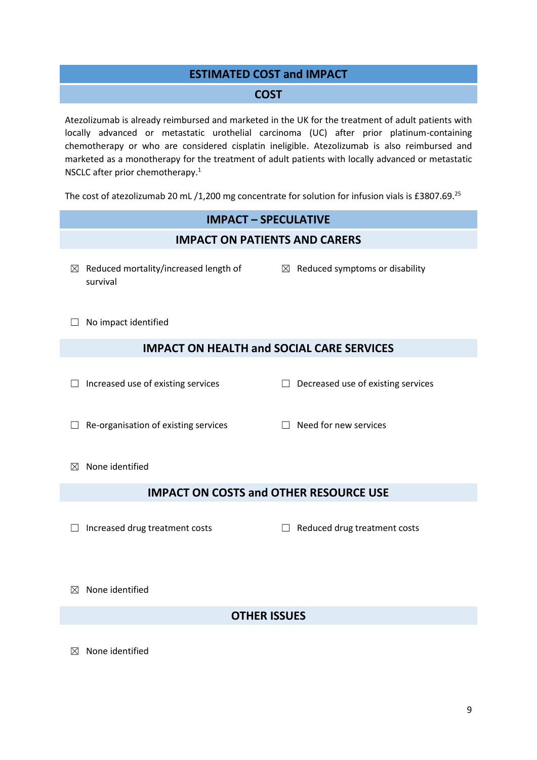#### **ESTIMATED COST and IMPACT**

#### **COST**

Atezolizumab is already reimbursed and marketed in the UK for the treatment of adult patients with locally advanced or metastatic urothelial carcinoma (UC) after prior platinum-containing chemotherapy or who are considered cisplatin ineligible. Atezolizumab is also reimbursed and marketed as a monotherapy for the treatment of adult patients with locally advanced or metastatic NSCLC after prior chemotherapy[.](#page-1-0) 1

The cost of atezolizumab 20 mL /1,200 mg concentrate for solution for infusion vials is £3807.69.<sup>25</sup>

## **IMPACT – SPECULATIVE IMPACT ON PATIENTS AND CARERS**  $\boxtimes$  Reduced mortality/increased length of survival  $\boxtimes$  Reduced symptoms or disability □ No impact identified **IMPACT ON HEALTH and SOCIAL CARE SERVICES** ☐ Increased use of existing services ☐ Decreased use of existing services ☐ Re-organisation of existing services ☐ Need for new services  $<sup>8</sup>$  None identified</sup> **IMPACT ON COSTS and OTHER RESOURCE USE** ☐ Increased drug treatment costs ☐ Reduced drug treatment costs ☒ None identified **OTHER ISSUES**

 $<sup>8</sup>$  None identified</sup>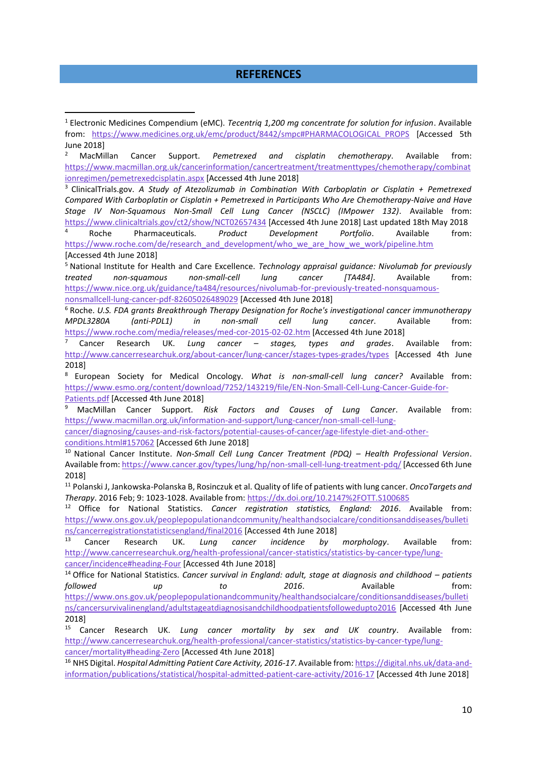#### **REFERENCES**

<sup>2</sup> MacMillan Cancer Support. *Pemetrexed and cisplatin chemotherapy*. Available from: [https://www.macmillan.org.uk/cancerinformation/cancertreatment/treatmenttypes/chemotherapy/combinat](https://www.macmillan.org.uk/cancerinformation/cancertreatment/treatmenttypes/chemotherapy/combinationregimen/pemetrexedcisplatin.aspx) [ionregimen/pemetrexedcisplatin.aspx](https://www.macmillan.org.uk/cancerinformation/cancertreatment/treatmenttypes/chemotherapy/combinationregimen/pemetrexedcisplatin.aspx) [Accessed 4th June 2018]

<sup>3</sup> ClinicalTrials.gov. *A Study of Atezolizumab in Combination With Carboplatin or Cisplatin + Pemetrexed Compared With Carboplatin or Cisplatin + Pemetrexed in Participants Who Are Chemotherapy-Naive and Have Stage IV Non-Squamous Non-Small Cell Lung Cancer (NSCLC) (IMpower 132)*. Available from: <https://www.clinicaltrials.gov/ct2/show/NCT02657434> [Accessed 4th June 2018] Last updated 18th May 2018 <sup>4</sup> Roche Pharmaceuticals. *Product Development Portfolio*. Available from: https://www.roche.com/de/research\_and\_development/who\_we\_are\_how\_we\_work/pipeline.htm [Accessed 4th June 2018]

<sup>5</sup> National Institute for Health and Care Excellence. *Technology appraisal guidance: Nivolumab for previously treated non-squamous non-small-cell lung cancer [TA484]*. Available from: [https://www.nice.org.uk/guidance/ta484/resources/nivolumab-for-previously-treated-nonsquamous-](https://www.nice.org.uk/guidance/ta484/resources/nivolumab-for-previously-treated-nonsquamous-nonsmallcell-lung-cancer-pdf-82605026489029)

[nonsmallcell-lung-cancer-pdf-82605026489029](https://www.nice.org.uk/guidance/ta484/resources/nivolumab-for-previously-treated-nonsquamous-nonsmallcell-lung-cancer-pdf-82605026489029) [Accessed 4th June 2018]

1

<sup>6</sup> Roche. *U.S. FDA grants Breakthrough Therapy Designation for Roche's investigational cancer immunotherapy MPDL3280A (anti-PDL1) in non-small cell lung cancer*. Available from: <https://www.roche.com/media/releases/med-cor-2015-02-02.htm> [Accessed 4th June 2018]

<sup>7</sup> Cancer Research UK. *Lung cancer – stages, types and grades*. Available from: <http://www.cancerresearchuk.org/about-cancer/lung-cancer/stages-types-grades/types> [Accessed 4th June 2018]

<sup>8</sup> European Society for Medical Oncology. *What is non-small-cell lung cancer?* Available from: [https://www.esmo.org/content/download/7252/143219/file/EN-Non-Small-Cell-Lung-Cancer-Guide-for-](https://www.esmo.org/content/download/7252/143219/file/EN-Non-Small-Cell-Lung-Cancer-Guide-for-Patients.pdf)[Patients.pdf](https://www.esmo.org/content/download/7252/143219/file/EN-Non-Small-Cell-Lung-Cancer-Guide-for-Patients.pdf) [Accessed 4th June 2018]

<sup>9</sup> MacMillan Cancer Support. *Risk Factors and Causes of Lung Cancer*. Available from: [https://www.macmillan.org.uk/information-and-support/lung-cancer/non-small-cell-lung-](https://www.macmillan.org.uk/information-and-support/lung-cancer/non-small-cell-lung-cancer/diagnosing/causes-and-risk-factors/potential-causes-of-cancer/age-lifestyle-diet-and-other-conditions.html#157062)

[cancer/diagnosing/causes-and-risk-factors/potential-causes-of-cancer/age-lifestyle-diet-and-other](https://www.macmillan.org.uk/information-and-support/lung-cancer/non-small-cell-lung-cancer/diagnosing/causes-and-risk-factors/potential-causes-of-cancer/age-lifestyle-diet-and-other-conditions.html#157062)[conditions.html#157062](https://www.macmillan.org.uk/information-and-support/lung-cancer/non-small-cell-lung-cancer/diagnosing/causes-and-risk-factors/potential-causes-of-cancer/age-lifestyle-diet-and-other-conditions.html#157062) [Accessed 6th June 2018]

<sup>10</sup> National Cancer Institute. *Non-Small Cell Lung Cancer Treatment (PDQ) – Health Professional Version*. Available from[: https://www.cancer.gov/types/lung/hp/non-small-cell-lung-treatment-pdq/\[](https://www.cancer.gov/types/lung/hp/non-small-cell-lung-treatment-pdq/)Accessed 6th June 2018]

<sup>11</sup> Polanski J, Jankowska-Polanska B, Rosinczuk et al. Quality of life of patients with lung cancer. *OncoTargets and Therapy*. 2016 Feb; 9: 1023-1028. Available from[: https://dx.doi.org/10.2147%2FOTT.S100685](https://dx.doi.org/10.2147%2FOTT.S100685)

<sup>12</sup> Office for National Statistics. *Cancer registration statistics, England: 2016*. Available from: [https://www.ons.gov.uk/peoplepopulationandcommunity/healthandsocialcare/conditionsanddiseases/bulleti](https://www.ons.gov.uk/peoplepopulationandcommunity/healthandsocialcare/conditionsanddiseases/bulletins/cancerregistrationstatisticsengland/final2016) [ns/cancerregistrationstatisticsengland/final2016](https://www.ons.gov.uk/peoplepopulationandcommunity/healthandsocialcare/conditionsanddiseases/bulletins/cancerregistrationstatisticsengland/final2016) [Accessed 4th June 2018]

<sup>13</sup> Cancer Research UK. *Lung cancer incidence by morphology*. Available from: [http://www.cancerresearchuk.org/health-professional/cancer-statistics/statistics-by-cancer-type/lung](http://www.cancerresearchuk.org/health-professional/cancer-statistics/statistics-by-cancer-type/lung-cancer/incidence#heading-Four)[cancer/incidence#heading-Four](http://www.cancerresearchuk.org/health-professional/cancer-statistics/statistics-by-cancer-type/lung-cancer/incidence#heading-Four) [Accessed 4th June 2018]

<sup>14</sup> Office for National Statistics. *Cancer survival in England: adult, stage at diagnosis and childhood – patients followed up to 2016*. Available from: [https://www.ons.gov.uk/peoplepopulationandcommunity/healthandsocialcare/conditionsanddiseases/bulleti](https://www.ons.gov.uk/peoplepopulationandcommunity/healthandsocialcare/conditionsanddiseases/bulletins/cancersurvivalinengland/adultstageatdiagnosisandchildhoodpatientsfollowedupto2016) [ns/cancersurvivalinengland/adultstageatdiagnosisandchildhoodpatientsfollowedupto2016](https://www.ons.gov.uk/peoplepopulationandcommunity/healthandsocialcare/conditionsanddiseases/bulletins/cancersurvivalinengland/adultstageatdiagnosisandchildhoodpatientsfollowedupto2016) [Accessed 4th June 2018]

<sup>15</sup> Cancer Research UK. *Lung cancer mortality by sex and UK country*. Available from: [http://www.cancerresearchuk.org/health-professional/cancer-statistics/statistics-by-cancer-type/lung-](http://www.cancerresearchuk.org/health-professional/cancer-statistics/statistics-by-cancer-type/lung-cancer/mortality#heading-Zero)

[cancer/mortality#heading-Zero](http://www.cancerresearchuk.org/health-professional/cancer-statistics/statistics-by-cancer-type/lung-cancer/mortality#heading-Zero) [Accessed 4th June 2018]

<sup>16</sup> NHS Digital. *Hospital Admitting Patient Care Activity, 2016-17*. Available from[: https://digital.nhs.uk/data-and](https://digital.nhs.uk/data-and-information/publications/statistical/hospital-admitted-patient-care-activity/2016-17)[information/publications/statistical/hospital-admitted-patient-care-activity/2016-17](https://digital.nhs.uk/data-and-information/publications/statistical/hospital-admitted-patient-care-activity/2016-17) [Accessed 4th June 2018]

<sup>1</sup> Electronic Medicines Compendium (eMC). *Tecentriq 1,200 mg concentrate for solution for infusion*. Available from: [https://www.medicines.org.uk/emc/product/8442/smpc#PHARMACOLOGICAL\\_PROPS](https://www.medicines.org.uk/emc/product/8442/smpc#PHARMACOLOGICAL_PROPS) [Accessed 5th June 2018]